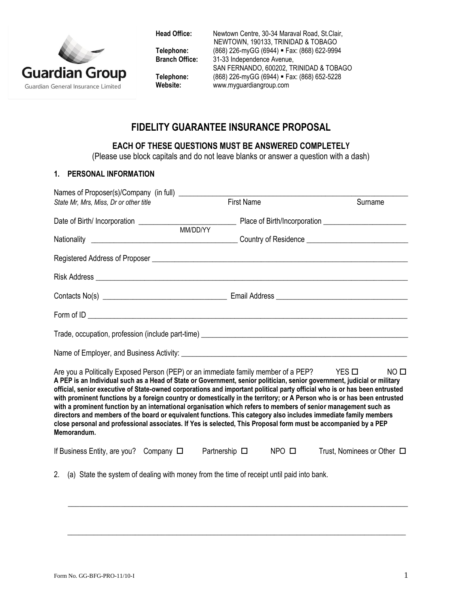

**Head Office:** Newtown Centre, 30-34 Maraval Road, St.Clair, NEWTOWN, 190133, TRINIDAD & TOBAGO **Telephone:** (868) 226-myGG (6944) **Fax: (868) 622-9994**<br>**Branch Office:** 31-33 Independence Avenue. 31-33 Independence Avenue, SAN FERNANDO, 600202, TRINIDAD & TOBAGO **Telephone:** (868) 226-myGG (6944) **Fax: (868) 652-5228**<br>
Website: www.myguardiangroup.com **Website:** www.myguardiangroup.com

# **FIDELITY GUARANTEE INSURANCE PROPOSAL**

### **EACH OF THESE QUESTIONS MUST BE ANSWERED COMPLETELY**

(Please use block capitals and do not leave blanks or answer a question with a dash)

#### **1. PERSONAL INFORMATION**

| Names of Proposer(s)/Company (in full) ____________                                                                                                                                                                                                                                                                                                                                                                                                                                                                                                                                                                                                                                                                                                                                                                                                                         |                                       |                                 |
|-----------------------------------------------------------------------------------------------------------------------------------------------------------------------------------------------------------------------------------------------------------------------------------------------------------------------------------------------------------------------------------------------------------------------------------------------------------------------------------------------------------------------------------------------------------------------------------------------------------------------------------------------------------------------------------------------------------------------------------------------------------------------------------------------------------------------------------------------------------------------------|---------------------------------------|---------------------------------|
| State Mr, Mrs, Miss, Dr or other title                                                                                                                                                                                                                                                                                                                                                                                                                                                                                                                                                                                                                                                                                                                                                                                                                                      | <b>First Name</b>                     | Surname                         |
|                                                                                                                                                                                                                                                                                                                                                                                                                                                                                                                                                                                                                                                                                                                                                                                                                                                                             |                                       |                                 |
|                                                                                                                                                                                                                                                                                                                                                                                                                                                                                                                                                                                                                                                                                                                                                                                                                                                                             |                                       |                                 |
|                                                                                                                                                                                                                                                                                                                                                                                                                                                                                                                                                                                                                                                                                                                                                                                                                                                                             |                                       |                                 |
|                                                                                                                                                                                                                                                                                                                                                                                                                                                                                                                                                                                                                                                                                                                                                                                                                                                                             |                                       |                                 |
|                                                                                                                                                                                                                                                                                                                                                                                                                                                                                                                                                                                                                                                                                                                                                                                                                                                                             |                                       |                                 |
|                                                                                                                                                                                                                                                                                                                                                                                                                                                                                                                                                                                                                                                                                                                                                                                                                                                                             |                                       |                                 |
|                                                                                                                                                                                                                                                                                                                                                                                                                                                                                                                                                                                                                                                                                                                                                                                                                                                                             |                                       |                                 |
|                                                                                                                                                                                                                                                                                                                                                                                                                                                                                                                                                                                                                                                                                                                                                                                                                                                                             |                                       |                                 |
| Are you a Politically Exposed Person (PEP) or an immediate family member of a PEP? $\overline{ }$ YES $\Box$<br>A PEP is an Individual such as a Head of State or Government, senior politician, senior government, judicial or military<br>official, senior executive of State-owned corporations and important political party official who is or has been entrusted<br>with prominent functions by a foreign country or domestically in the territory; or A Person who is or has been entrusted<br>with a prominent function by an international organisation which refers to members of senior management such as<br>directors and members of the board or equivalent functions. This category also includes immediate family members<br>close personal and professional associates. If Yes is selected, This Proposal form must be accompanied by a PEP<br>Memorandum. |                                       | NO <sub>II</sub>                |
| If Business Entity, are you? Company $\Box$                                                                                                                                                                                                                                                                                                                                                                                                                                                                                                                                                                                                                                                                                                                                                                                                                                 | Partnership $\square$<br>$NPO$ $\Box$ | Trust, Nominees or Other $\Box$ |
| (a) State the system of dealing with money from the time of receipt until paid into bank.<br>2 <sup>1</sup>                                                                                                                                                                                                                                                                                                                                                                                                                                                                                                                                                                                                                                                                                                                                                                 |                                       |                                 |

 $\_$  , and the set of the set of the set of the set of the set of the set of the set of the set of the set of the set of the set of the set of the set of the set of the set of the set of the set of the set of the set of th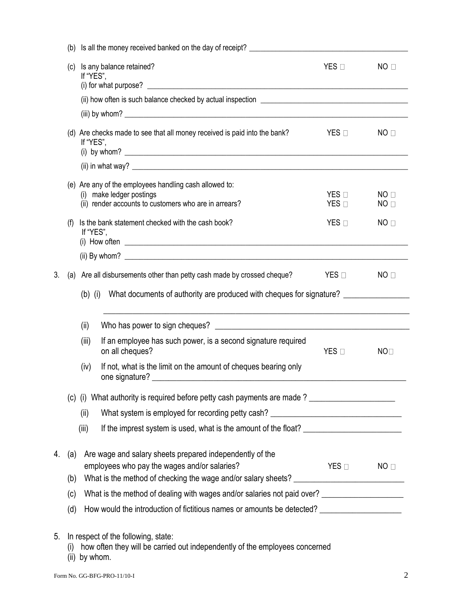|           | (b) | Is all the money received banked on the day of receipt? ________________________                                                            |                                    |                                    |  |  |  |  |
|-----------|-----|---------------------------------------------------------------------------------------------------------------------------------------------|------------------------------------|------------------------------------|--|--|--|--|
|           | (c) | Is any balance retained?<br>If "YES",                                                                                                       | $YES$ $\square$                    | NO <sub>0</sub>                    |  |  |  |  |
|           |     |                                                                                                                                             |                                    |                                    |  |  |  |  |
|           |     |                                                                                                                                             |                                    |                                    |  |  |  |  |
|           |     | (d) Are checks made to see that all money received is paid into the bank?<br>If "YES",                                                      | $YES$ $\square$                    | NO <sub>0</sub>                    |  |  |  |  |
|           |     |                                                                                                                                             |                                    |                                    |  |  |  |  |
|           |     | (e) Are any of the employees handling cash allowed to:<br>(i) make ledger postings<br>(ii) render accounts to customers who are in arrears? | $YES$ $\square$<br>$YES$ $\square$ | NO <sub>0</sub><br>NO <sub>0</sub> |  |  |  |  |
|           | (f) | Is the bank statement checked with the cash book?<br>If "YES",                                                                              | $YES \Box$                         | NO <sub>0</sub>                    |  |  |  |  |
|           |     |                                                                                                                                             |                                    |                                    |  |  |  |  |
| 3.        |     | (a) Are all disbursements other than petty cash made by crossed cheque?                                                                     | $YES$ $\square$                    | NO <sub>0</sub>                    |  |  |  |  |
|           |     | (b) (i) What documents of authority are produced with cheques for signature?                                                                |                                    |                                    |  |  |  |  |
|           |     |                                                                                                                                             |                                    |                                    |  |  |  |  |
|           |     | (ii)                                                                                                                                        |                                    |                                    |  |  |  |  |
|           |     | If an employee has such power, is a second signature required<br>(iii)<br>on all cheques?                                                   | $YES \Box$                         | NO <sub>1</sub>                    |  |  |  |  |
|           |     | If not, what is the limit on the amount of cheques bearing only<br>(iv)<br>one signature?                                                   |                                    |                                    |  |  |  |  |
|           |     | (c) (i) What authority is required before petty cash payments are made?                                                                     |                                    |                                    |  |  |  |  |
|           |     | What system is employed for recording petty cash? ______________________________<br>(ii)                                                    |                                    |                                    |  |  |  |  |
|           |     | (iii)                                                                                                                                       |                                    |                                    |  |  |  |  |
|           |     |                                                                                                                                             |                                    |                                    |  |  |  |  |
| 4.<br>(a) |     | Are wage and salary sheets prepared independently of the<br>employees who pay the wages and/or salaries?                                    | $YES$ $\square$                    | NO <sub>1</sub>                    |  |  |  |  |
|           | (b) |                                                                                                                                             |                                    |                                    |  |  |  |  |
|           | (c) | What is the method of dealing with wages and/or salaries not paid over? ___________________________                                         |                                    |                                    |  |  |  |  |
|           | (d) | How would the introduction of fictitious names or amounts be detected? ____________________________                                         |                                    |                                    |  |  |  |  |
| 5.        |     | In respect of the following, state:                                                                                                         |                                    |                                    |  |  |  |  |
|           |     |                                                                                                                                             |                                    |                                    |  |  |  |  |

(i) how often they will be carried out independently of the employees concerned

(ii) by whom.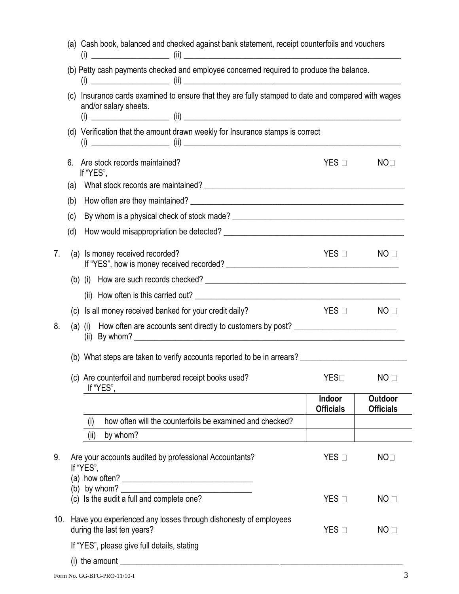|    | (a) Cash book, balanced and checked against bank statement, receipt counterfoils and vouchers                                                                                                                          |                            |                             |  |  |  |
|----|------------------------------------------------------------------------------------------------------------------------------------------------------------------------------------------------------------------------|----------------------------|-----------------------------|--|--|--|
|    | (b) Petty cash payments checked and employee concerned required to produce the balance.<br>(c) Insurance cards examined to ensure that they are fully stamped to date and compared with wages<br>and/or salary sheets. |                            |                             |  |  |  |
|    |                                                                                                                                                                                                                        |                            |                             |  |  |  |
|    |                                                                                                                                                                                                                        |                            |                             |  |  |  |
|    | (d) Verification that the amount drawn weekly for Insurance stamps is correct                                                                                                                                          |                            |                             |  |  |  |
|    | 6. Are stock records maintained?<br>If "YES",                                                                                                                                                                          | $YES \Box$                 | NO <sub>1</sub>             |  |  |  |
|    | (a)                                                                                                                                                                                                                    |                            |                             |  |  |  |
|    | (b)                                                                                                                                                                                                                    |                            |                             |  |  |  |
|    | (c)                                                                                                                                                                                                                    |                            |                             |  |  |  |
|    | (d)                                                                                                                                                                                                                    |                            |                             |  |  |  |
| 7. | (a) Is money received recorded?                                                                                                                                                                                        | YES □                      | NO <sub>1</sub>             |  |  |  |
|    |                                                                                                                                                                                                                        |                            |                             |  |  |  |
|    |                                                                                                                                                                                                                        |                            |                             |  |  |  |
|    | (c) Is all money received banked for your credit daily?                                                                                                                                                                | $YES \Box$                 | NO <sub>1</sub>             |  |  |  |
| 8. | (a) (i) How often are accounts sent directly to customers by post?<br>(ii) By whom? $\qquad \qquad$                                                                                                                    |                            |                             |  |  |  |
|    | (b) What steps are taken to verify accounts reported to be in arrears? _____________________________                                                                                                                   |                            |                             |  |  |  |
|    | (c) Are counterfoil and numbered receipt books used?<br>If "YES",                                                                                                                                                      | YES□                       | NO <sub>1</sub>             |  |  |  |
|    |                                                                                                                                                                                                                        | Indoor<br><b>Officials</b> | Outdoor<br><b>Officials</b> |  |  |  |
|    | how often will the counterfoils be examined and checked?<br>(i)                                                                                                                                                        |                            |                             |  |  |  |
|    | by whom?<br>(ii)                                                                                                                                                                                                       |                            |                             |  |  |  |
| 9. | Are your accounts audited by professional Accountants?<br>If "YES",                                                                                                                                                    | $YES$ $\square$            | NO <sub>1</sub>             |  |  |  |
|    | (a) how often? $\qquad \qquad$                                                                                                                                                                                         |                            |                             |  |  |  |
|    | (c) Is the audit a full and complete one?                                                                                                                                                                              | $YES$ $\square$            | NO <sub>1</sub>             |  |  |  |
|    | 10. Have you experienced any losses through dishonesty of employees<br>during the last ten years?                                                                                                                      | $YES \Box$                 | NO                          |  |  |  |
|    | If "YES", please give full details, stating                                                                                                                                                                            |                            |                             |  |  |  |
|    | (i) the amount                                                                                                                                                                                                         |                            |                             |  |  |  |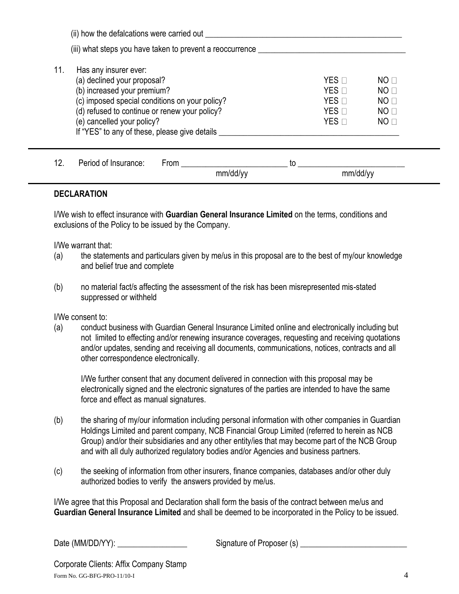$(i)$  how the defalcations were carried out  $(i)$ (iii) what steps you have taken to prevent a reoccurrence \_\_\_\_\_\_\_\_\_\_\_\_\_\_\_\_\_\_\_\_\_\_ 11. Has any insurer ever: (a) declined your proposal?  $YES \Box$ (b) increased your premium?  $YES \Box$  NO  $\Box$ (c) imposed special conditions on your policy?<br>
(d) refused to continue or renew your policy?<br>  $YES \Box$  NO  $\Box$ (d) refused to continue or renew your policy?  $YES \Box$  NO  $\Box$ (e) cancelled your policy?  $YES \Box$ If "YES" to any of these, please give details \_\_\_\_\_\_\_\_\_\_\_\_\_\_\_\_\_\_\_\_\_\_\_\_\_\_\_\_\_\_\_\_\_\_

| 10<br>ı∠. | Period of Insurance: | From | τc       |          |
|-----------|----------------------|------|----------|----------|
|           |                      |      | mm/dd/yy | mm/dd/yy |

#### **DECLARATION**

I/We wish to effect insurance with **Guardian General Insurance Limited** on the terms, conditions and exclusions of the Policy to be issued by the Company.

I/We warrant that:

- (a) the statements and particulars given by me/us in this proposal are to the best of my/our knowledge and belief true and complete
- (b) no material fact/s affecting the assessment of the risk has been misrepresented mis-stated suppressed or withheld

I/We consent to:

(a) conduct business with Guardian General Insurance Limited online and electronically including but not limited to effecting and/or renewing insurance coverages, requesting and receiving quotations and/or updates, sending and receiving all documents, communications, notices, contracts and all other correspondence electronically.

I/We further consent that any document delivered in connection with this proposal may be electronically signed and the electronic signatures of the parties are intended to have the same force and effect as manual signatures.

- (b) the sharing of my/our information including personal information with other companies in Guardian Holdings Limited and parent company, NCB Financial Group Limited (referred to herein as NCB Group) and/or their subsidiaries and any other entity/ies that may become part of the NCB Group and with all duly authorized regulatory bodies and/or Agencies and business partners.
- (c) the seeking of information from other insurers, finance companies, databases and/or other duly authorized bodies to verify the answers provided by me/us.

I/We agree that this Proposal and Declaration shall form the basis of the contract between me/us and **Guardian General Insurance Limited** and shall be deemed to be incorporated in the Policy to be issued.

Date (MM/DD/YY): \_\_\_\_\_\_\_\_\_\_\_\_\_\_\_\_\_ Signature of Proposer (s) \_\_\_\_\_\_\_\_\_\_\_\_\_\_\_\_\_\_\_\_\_\_\_\_\_\_

Form No. GG-BFG-PRO-11/10-I 4 Corporate Clients: Affix Company Stamp